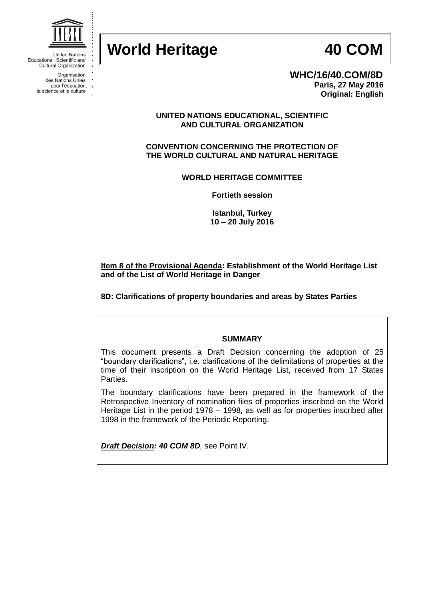

**WHC/16/40.COM/8D Paris, 27 May 2016 Original: English**

# **UNITED NATIONS EDUCATIONAL, SCIENTIFIC AND CULTURAL ORGANIZATION**

**CONVENTION CONCERNING THE PROTECTION OF THE WORLD CULTURAL AND NATURAL HERITAGE**

**WORLD HERITAGE COMMITTEE**

**Fortieth session**

**Istanbul, Turkey 10 – 20 July 2016**

# **Item 8 of the Provisional Agenda: Establishment of the World Heritage List and of the List of World Heritage in Danger**

**8D: Clarifications of property boundaries and areas by States Parties** 

# **SUMMARY**

This document presents a Draft Decision concerning the adoption of 25 "boundary clarifications", i.e. clarifications of the delimitations of properties at the time of their inscription on the World Heritage List, received from 17 States Parties.

The boundary clarifications have been prepared in the framework of the Retrospective Inventory of nomination files of properties inscribed on the World Heritage List in the period 1978 – 1998, as well as for properties inscribed after 1998 in the framework of the Periodic Reporting.

*Draft Decision: 40 COM 8D,* see Point IV.



**United Nations** Educational, Scientific and Cultural Organization

> Organisation des Nations Unies

- pour l'éducation,
- la science et la culture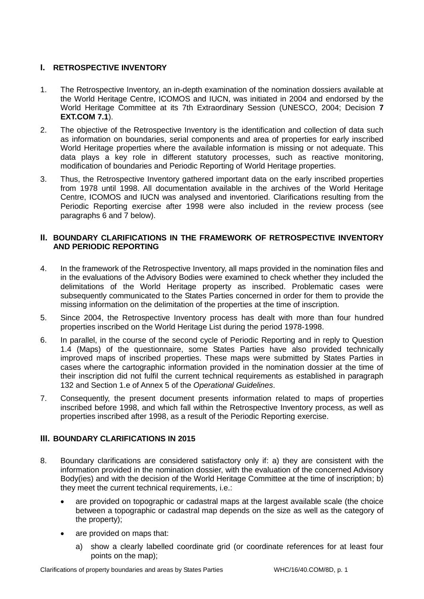# **I. RETROSPECTIVE INVENTORY**

- 1. The Retrospective Inventory, an in-depth examination of the nomination dossiers available at the World Heritage Centre, ICOMOS and IUCN, was initiated in 2004 and endorsed by the World Heritage Committee at its 7th Extraordinary Session (UNESCO, 2004; Decision **7 EXT.COM 7.1**).
- 2. The objective of the Retrospective Inventory is the identification and collection of data such as information on boundaries, serial components and area of properties for early inscribed World Heritage properties where the available information is missing or not adequate. This data plays a key role in different statutory processes, such as reactive monitoring, modification of boundaries and Periodic Reporting of World Heritage properties.
- 3. Thus, the Retrospective Inventory gathered important data on the early inscribed properties from 1978 until 1998. All documentation available in the archives of the World Heritage Centre, ICOMOS and IUCN was analysed and inventoried. Clarifications resulting from the Periodic Reporting exercise after 1998 were also included in the review process (see paragraphs 6 and 7 below).

# **II. BOUNDARY CLARIFICATIONS IN THE FRAMEWORK OF RETROSPECTIVE INVENTORY AND PERIODIC REPORTING**

- 4. In the framework of the Retrospective Inventory, all maps provided in the nomination files and in the evaluations of the Advisory Bodies were examined to check whether they included the delimitations of the World Heritage property as inscribed. Problematic cases were subsequently communicated to the States Parties concerned in order for them to provide the missing information on the delimitation of the properties at the time of inscription.
- 5. Since 2004, the Retrospective Inventory process has dealt with more than four hundred properties inscribed on the World Heritage List during the period 1978-1998.
- 6. In parallel, in the course of the second cycle of Periodic Reporting and in reply to Question 1.4 (Maps) of the questionnaire, some States Parties have also provided technically improved maps of inscribed properties. These maps were submitted by States Parties in cases where the cartographic information provided in the nomination dossier at the time of their inscription did not fulfil the current technical requirements as established in paragraph 132 and Section 1.e of Annex 5 of the *Operational Guidelines*.
- 7. Consequently, the present document presents information related to maps of properties inscribed before 1998, and which fall within the Retrospective Inventory process, as well as properties inscribed after 1998, as a result of the Periodic Reporting exercise.

# **III. BOUNDARY CLARIFICATIONS IN 2015**

- 8. Boundary clarifications are considered satisfactory only if: a) they are consistent with the information provided in the nomination dossier, with the evaluation of the concerned Advisory Body(ies) and with the decision of the World Heritage Committee at the time of inscription; b) they meet the current technical requirements, i.e.:
	- are provided on topographic or cadastral maps at the largest available scale (the choice between a topographic or cadastral map depends on the size as well as the category of the property);
	- are provided on maps that:
		- a) show a clearly labelled coordinate grid (or coordinate references for at least four points on the map);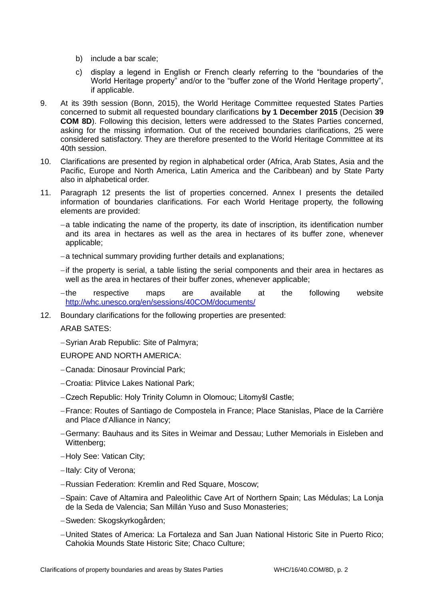- b) include a bar scale;
- c) display a legend in English or French clearly referring to the "boundaries of the World Heritage property" and/or to the "buffer zone of the World Heritage property", if applicable.
- 9. At its 39th session (Bonn, 2015), the World Heritage Committee requested States Parties concerned to submit all requested boundary clarifications **by 1 December 2015** (Decision **39 COM 8D**). Following this decision, letters were addressed to the States Parties concerned, asking for the missing information. Out of the received boundaries clarifications, 25 were considered satisfactory. They are therefore presented to the World Heritage Committee at its 40th session.
- 10. Clarifications are presented by region in alphabetical order (Africa, Arab States, Asia and the Pacific, Europe and North America, Latin America and the Caribbean) and by State Party also in alphabetical order.
- 11. Paragraph 12 presents the list of properties concerned. Annex I presents the detailed information of boundaries clarifications. For each World Heritage property, the following elements are provided:
	- $-$ a table indicating the name of the property, its date of inscription, its identification number and its area in hectares as well as the area in hectares of its buffer zone, whenever applicable;
	- -a technical summary providing further details and explanations;
	- $-i$ f the property is serial, a table listing the serial components and their area in hectares as well as the area in hectares of their buffer zones, whenever applicable;
	- the respective maps are available at the following website <http://whc.unesco.org/en/sessions/40COM/documents/>
- 12. Boundary clarifications for the following properties are presented:

ARAB SATES:

-Syrian Arab Republic: Site of Palmyra;

EUROPE AND NORTH AMERICA:

- Canada: Dinosaur Provincial Park;
- Croatia: Plitvice Lakes National Park;
- Czech Republic: Holy Trinity Column in Olomouc; Litomyšl Castle;
- France: Routes of Santiago de Compostela in France; Place Stanislas, Place de la Carrière and Place d'Alliance in Nancy;
- Germany: Bauhaus and its Sites in Weimar and Dessau; Luther Memorials in Eisleben and Wittenberg;
- -Holy See: Vatican City;
- -Italy: City of Verona;
- Russian Federation: Kremlin and Red Square, Moscow;
- -Spain: Cave of Altamira and Paleolithic Cave Art of Northern Spain; Las Médulas; La Lonja de la Seda de Valencia; San Millán Yuso and Suso Monasteries;
- Sweden: Skogskyrkogården;
- United States of America: La Fortaleza and San Juan National Historic Site in Puerto Rico; Cahokia Mounds State Historic Site; Chaco Culture;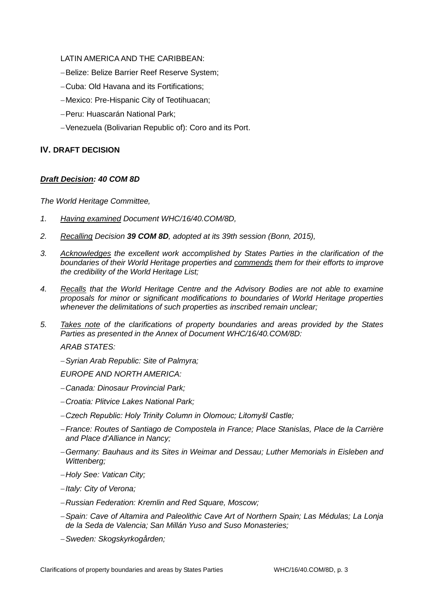# LATIN AMERICA AND THE CARIBBEAN:

- -Belize: Belize Barrier Reef Reserve System;
- Cuba: Old Havana and its Fortifications;
- Mexico: Pre-Hispanic City of Teotihuacan;
- Peru: Huascarán National Park;
- Venezuela (Bolivarian Republic of): Coro and its Port.

# **IV. DRAFT DECISION**

# *Draft Decision: 40 COM 8D*

*The World Heritage Committee,*

- *1. Having examined Document WHC/16/40.COM/8D,*
- *2. Recalling Decision 39 COM 8D, adopted at its 39th session (Bonn, 2015),*
- *3. Acknowledges the excellent work accomplished by States Parties in the clarification of the boundaries of their World Heritage properties and commends them for their efforts to improve the credibility of the World Heritage List;*
- *4. Recalls that the World Heritage Centre and the Advisory Bodies are not able to examine proposals for minor or significant modifications to boundaries of World Heritage properties whenever the delimitations of such properties as inscribed remain unclear;*
- *5. Takes note of the clarifications of property boundaries and areas provided by the States Parties as presented in the Annex of Document WHC/16/40.COM/8D:*

*ARAB STATES:*

*Syrian Arab Republic: Site of Palmyra;*

*EUROPE AND NORTH AMERICA:*

- *Canada: Dinosaur Provincial Park;*
- *Croatia: Plitvice Lakes National Park;*
- *Czech Republic: Holy Trinity Column in Olomouc; Litomyšl Castle;*
- *France: Routes of Santiago de Compostela in France; Place Stanislas, Place de la Carrière and Place d'Alliance in Nancy;*
- *Germany: Bauhaus and its Sites in Weimar and Dessau; Luther Memorials in Eisleben and Wittenberg;*
- *Holy See: Vatican City;*
- *Italy: City of Verona;*
- *Russian Federation: Kremlin and Red Square, Moscow;*
- *Spain: Cave of Altamira and Paleolithic Cave Art of Northern Spain; Las Médulas; La Lonja de la Seda de Valencia; San Millán Yuso and Suso Monasteries;*
- *Sweden: Skogskyrkogården;*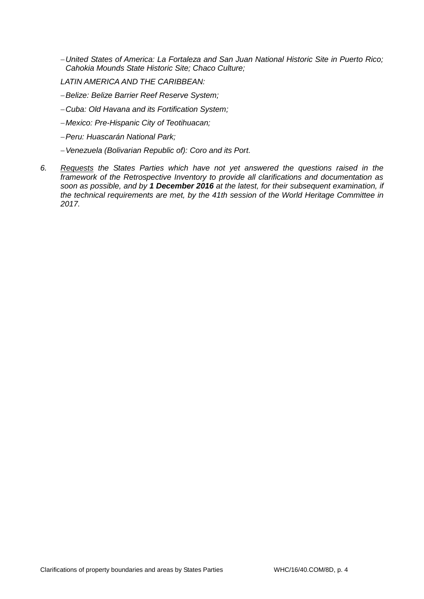- *United States of America: La Fortaleza and San Juan National Historic Site in Puerto Rico; Cahokia Mounds State Historic Site; Chaco Culture;*
- *LATIN AMERICA AND THE CARIBBEAN:*
- *Belize: Belize Barrier Reef Reserve System;*
- *Cuba: Old Havana and its Fortification System;*
- *Mexico: Pre-Hispanic City of Teotihuacan;*
- *Peru: Huascarán National Park;*
- *Venezuela (Bolivarian Republic of): Coro and its Port.*
- *6. Requests the States Parties which have not yet answered the questions raised in the framework of the Retrospective Inventory to provide all clarifications and documentation as soon as possible, and by 1 December 2016 at the latest, for their subsequent examination, if the technical requirements are met, by the 41th session of the World Heritage Committee in 2017.*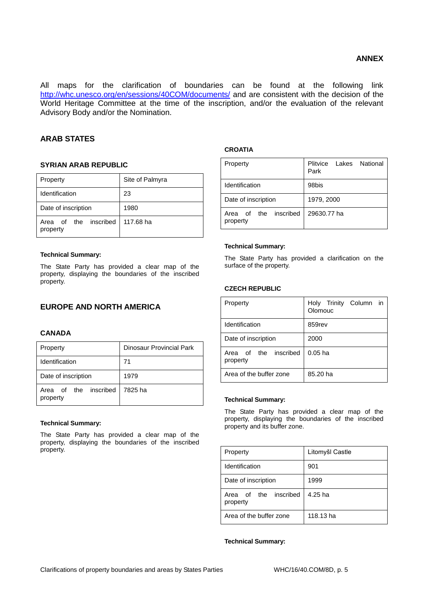All maps for the clarification of boundaries can be found at the following link <http://whc.unesco.org/en/sessions/40COM/documents/> and are consistent with the decision of the World Heritage Committee at the time of the inscription, and/or the evaluation of the relevant Advisory Body and/or the Nomination.

# **ARAB STATES**

# **SYRIAN ARAB REPUBLIC**

| Property                          | Site of Palmyra |  |
|-----------------------------------|-----------------|--|
| Identification                    | 23              |  |
| Date of inscription               | 1980            |  |
| Area of the inscribed<br>property | 117.68 ha       |  |

## **Technical Summary:**

The State Party has provided a clear map of the property, displaying the boundaries of the inscribed property.

# **EUROPE AND NORTH AMERICA**

# **CANADA**

| Property                                  | Dinosaur Provincial Park |  |
|-------------------------------------------|--------------------------|--|
| Identification                            | 71                       |  |
| Date of inscription                       | 1979                     |  |
| Area of the inscribed 7825 ha<br>property |                          |  |

## **Technical Summary:**

The State Party has provided a clear map of the property, displaying the boundaries of the inscribed property.

# **CROATIA**

| Property                             | Lakes National<br>Plitvice<br>Park |
|--------------------------------------|------------------------------------|
| Identification                       | 98bis                              |
| Date of inscription                  | 1979, 2000                         |
| the inscribed<br>Area of<br>property | 29630.77 ha                        |

#### **Technical Summary:**

The State Party has provided a clarification on the surface of the property.

# **CZECH REPUBLIC**

| Property                          | Holy Trinity Column<br>in<br>Olomouc |
|-----------------------------------|--------------------------------------|
| Identification                    | 859rev                               |
| Date of inscription               | 2000                                 |
| Area of the inscribed<br>property | $0.05$ ha                            |
| Area of the buffer zone           | 85.20 ha                             |

## **Technical Summary:**

The State Party has provided a clear map of the property, displaying the boundaries of the inscribed property and its buffer zone.

| Property                             | Litomyšl Castle |  |
|--------------------------------------|-----------------|--|
| Identification                       | 901             |  |
| Date of inscription                  | 1999            |  |
| inscribed<br>Area of the<br>property | 4.25 ha         |  |
| Area of the buffer zone              | 118.13 ha       |  |

# **Technical Summary:**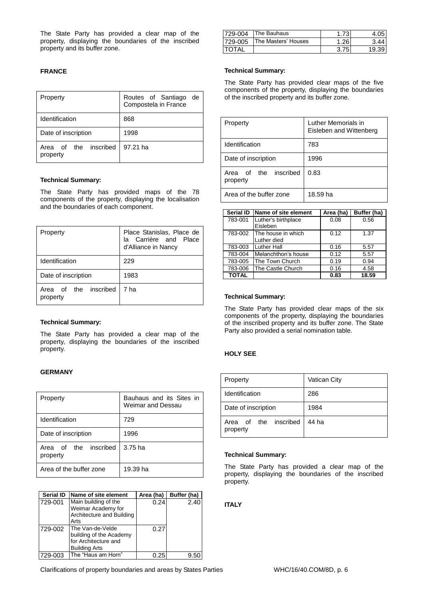The State Party has provided a clear map of the property, displaying the boundaries of the inscribed property and its buffer zone.

# **FRANCE**

| Property                                | Routes of Santiago<br>de<br>Compostela in France |
|-----------------------------------------|--------------------------------------------------|
| Identification                          | 868                                              |
| Date of inscription                     | 1998                                             |
| inscribed<br>Area of<br>the<br>property | 97.21 ha                                         |

#### **Technical Summary:**

The State Party has provided maps of the 78 components of the property, displaying the localisation and the boundaries of each component.

| Property                          | Place Stanislas, Place de<br>la Carrière and Place<br>d'Alliance in Nancy |  |
|-----------------------------------|---------------------------------------------------------------------------|--|
| Identification                    | 229                                                                       |  |
| Date of inscription               | 1983                                                                      |  |
| Area of the inscribed<br>property | 7 ha                                                                      |  |

#### **Technical Summary:**

The State Party has provided a clear map of the property, displaying the boundaries of the inscribed property.

# **GERMANY**

| Property                                | Bauhaus and its Sites in<br>Weimar and Dessau |  |  |
|-----------------------------------------|-----------------------------------------------|--|--|
| Identification                          | 729                                           |  |  |
| Date of inscription                     | 1996                                          |  |  |
| inscribed<br>the<br>Area of<br>property | 3.75 ha                                       |  |  |
| Area of the buffer zone                 | 19.39 ha                                      |  |  |

| <b>Serial ID</b> | Name of site element                                                                        | Area (ha) | Buffer (ha) |
|------------------|---------------------------------------------------------------------------------------------|-----------|-------------|
| 729-001          | Main building of the<br>Weimar Academy for<br>Architecture and Building<br>Arts             | 0.24      | 2.40        |
| 729-002          | The Van-de-Velde<br>building of the Academy<br>for Architecture and<br><b>Building Arts</b> | 0.27      |             |
| 729-003          | The "Haus am Horn"                                                                          | 0.25      | 9.5         |

| 729-004       | <b>The Bauhaus</b>  | 1.73 <sub>1</sub> |       |
|---------------|---------------------|-------------------|-------|
| 729-005       | The Masters' Houses | .26               |       |
| <b>ITOTAL</b> |                     | 3.75              | 19.39 |

#### **Technical Summary:**

The State Party has provided clear maps of the five components of the property, displaying the boundaries of the inscribed property and its buffer zone.

| Property                                | Luther Memorials in<br>Eisleben and Wittenberg |
|-----------------------------------------|------------------------------------------------|
| Identification                          | 783                                            |
| Date of inscription                     | 1996                                           |
| inscribed<br>the<br>Area of<br>property | 0.83                                           |
| Area of the buffer zone                 | 18.59 ha                                       |

| <b>Serial ID</b> | Name of site element              | Area (ha) | Buffer (ha) |
|------------------|-----------------------------------|-----------|-------------|
| 783-001          | Luther's birthplace<br>Eisleben   | 0.08      | 0.56        |
| 783-002          | The house in which<br>Luther died | 0.12      | 1.37        |
| 783-003          | <b>Luther Hall</b>                | 0.16      | 5.57        |
| 783-004          | Melanchthon's house               | 0.12      | 5.57        |
| 783-005          | The Town Church                   | 0.19      | 0.94        |
| 783-006          | The Castle Church                 | 0.16      | 4.58        |
| <b>TOTAL</b>     |                                   | 0.83      | 18.59       |

#### **Technical Summary:**

The State Party has provided clear maps of the six components of the property, displaying the boundaries of the inscribed property and its buffer zone. The State Party also provided a serial nomination table.

### **HOLY SEE**

| Property                          | <b>Vatican City</b> |
|-----------------------------------|---------------------|
| Identification                    | 286                 |
| Date of inscription               | 1984                |
| Area of the inscribed<br>property | 44 ha               |

## **Technical Summary:**

The State Party has provided a clear map of the property, displaying the boundaries of the inscribed property.

# **ITALY**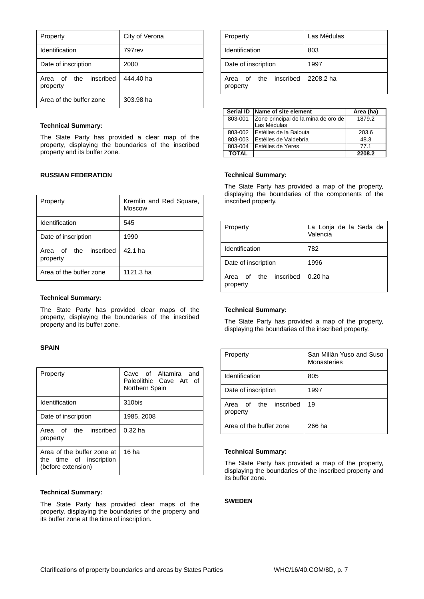| Property                             | City of Verona |
|--------------------------------------|----------------|
| Identification                       | 797rev         |
| Date of inscription                  | 2000           |
| the inscribed<br>Area of<br>property | 444.40 ha      |
| Area of the buffer zone              | 303.98 ha      |

#### **Technical Summary:**

The State Party has provided a clear map of the property, displaying the boundaries of the inscribed property and its buffer zone.

# **RUSSIAN FEDERATION**

| Property                             | Kremlin and Red Square,<br><b>Moscow</b> |
|--------------------------------------|------------------------------------------|
| Identification                       | 545                                      |
| Date of inscription                  | 1990                                     |
| inscribed<br>Area of the<br>property | $42.1$ ha                                |
| Area of the buffer zone              | $1121.3$ ha                              |

#### **Technical Summary:**

The State Party has provided clear maps of the property, displaying the boundaries of the inscribed property and its buffer zone.

#### **SPAIN**

| Property                                                                    | Cave of Altamira and<br>Paleolithic Cave Art of<br>Northern Spain |
|-----------------------------------------------------------------------------|-------------------------------------------------------------------|
| Identification                                                              | 310bis                                                            |
| Date of inscription                                                         | 1985, 2008                                                        |
| Area of the inscribed<br>property                                           | $0.32$ ha                                                         |
| Area of the buffer zone at<br>the time of inscription<br>(before extension) | 16 <sub>ha</sub>                                                  |

#### **Technical Summary:**

The State Party has provided clear maps of the property, displaying the boundaries of the property and its buffer zone at the time of inscription.

| Property                             | Las Médulas |
|--------------------------------------|-------------|
| Identification                       | 803         |
| Date of inscription                  | 1997        |
| inscribed<br>Area of the<br>property | 2208.2 ha   |

| <b>Serial ID</b> | Name of site element                               | Area (ha) |
|------------------|----------------------------------------------------|-----------|
| 803-001          | Zone principal de la mina de oro de<br>Las Médulas | 1879.2    |
| 803-002          | Estéiles de la Balouta                             | 203.6     |
| 803-003          | Estéiles de Valdebría                              | 48.3      |
| 803-004          | Estéiles de Yeres                                  | 77.1      |
| <b>TOTAL</b>     |                                                    | 2208.2    |

#### **Technical Summary:**

The State Party has provided a map of the property, displaying the boundaries of the components of the inscribed property.

| Property                          | La Lonja de la Seda de<br>Valencia |
|-----------------------------------|------------------------------------|
| Identification                    | 782                                |
| Date of inscription               | 1996                               |
| Area of the inscribed<br>property | $0.20$ ha                          |

## **Technical Summary:**

The State Party has provided a map of the property, displaying the boundaries of the inscribed property.

| Property                          | San Millán Yuso and Suso<br>Monasteries |
|-----------------------------------|-----------------------------------------|
| Identification                    | 805                                     |
| Date of inscription               | 1997                                    |
| Area of the inscribed<br>property | 19                                      |
| Area of the buffer zone           | 266 ha                                  |

## **Technical Summary:**

The State Party has provided a map of the property, displaying the boundaries of the inscribed property and its buffer zone.

# **SWEDEN**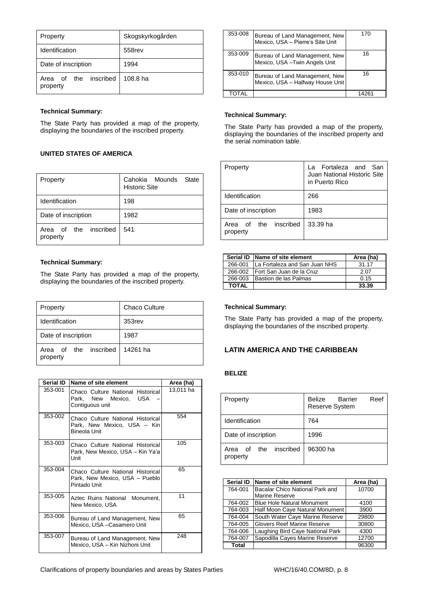| Property                             | Skogskyrkogården |
|--------------------------------------|------------------|
| Identification                       | 558rev           |
| Date of inscription                  | 1994             |
| inscribed<br>Area of the<br>property | 108.8 ha         |

## **Technical Summary:**

The State Party has provided a map of the property, displaying the boundaries of the inscribed property.

# **UNITED STATES OF AMERICA**

| Property                                | Cahokia Mounds<br>State<br><b>Historic Site</b> |
|-----------------------------------------|-------------------------------------------------|
| Identification                          | 198                                             |
| Date of inscription                     | 1982                                            |
| inscribed<br>the<br>Area of<br>property | 541                                             |

#### **Technical Summary:**

The State Party has provided a map of the property, displaying the boundaries of the inscribed property.

| Property                          | <b>Chaco Culture</b> |
|-----------------------------------|----------------------|
| Identification                    | 353 <sub>rev</sub>   |
| Date of inscription               | 1987                 |
| Area of the inscribed<br>property | 14261 ha             |

| Serial ID | Name of site element                                                                | Area (ha) |
|-----------|-------------------------------------------------------------------------------------|-----------|
| 353-001   | Chaco Culture National Historical<br>Park, New Mexico, USA<br>Contiguous unit       | 13,011 ha |
| 353-002   | Chaco Culture National Historical<br>Park, New Mexico, USA - Kin<br>Bineola Unit    | 554       |
| 353-003   | Chaco Culture National Historical<br>Park, New Mexico, USA – Kin Ya'a<br>Unit       | 105       |
| 353-004   | Chaco Culture National Historical<br>Park, New Mexico, USA - Pueblo<br>Pintado Unit | 65        |
| 353-005   | Aztec Ruins National Monument,<br>New Mexico, USA                                   | 11        |
| 353-006   | Bureau of Land Management, New<br>Mexico, USA - Casamero Unit                       | 65        |
| 353-007   | Bureau of Land Management, New<br>Mexico, USA – Kin Nizhoni Unit                    | 248       |

| 353-008 | Bureau of Land Management, New<br>Mexico, USA - Pierre's Site Unit | 170   |
|---------|--------------------------------------------------------------------|-------|
| 353-009 | Bureau of Land Management, New<br>Mexico, USA - Twin Angels Unit   | 16    |
| 353-010 | Bureau of Land Management, New<br>Mexico, USA - Halfway House Unit | 16    |
| TOTAI   |                                                                    | 14261 |

## **Technical Summary:**

The State Party has provided a map of the property, displaying the boundaries of the inscribed property and the serial nomination table.

| Property                             | La Fortaleza and San<br>Juan National Historic Site<br>in Puerto Rico |  |
|--------------------------------------|-----------------------------------------------------------------------|--|
| Identification                       | 266                                                                   |  |
| Date of inscription                  | 1983                                                                  |  |
| inscribed<br>Area of the<br>property | 33.39 ha                                                              |  |

|         | Serial ID Name of site element        | Area (ha) |
|---------|---------------------------------------|-----------|
| 266-001 | <b>ILa Fortaleza and San Juan NHS</b> | 31.17     |
| 266-002 | Fort San Juan de la Cruz              | 2.07      |
| 266-003 | Bastion de las Palmas                 | 0.15      |
| TOTAL   |                                       | 33.39     |

# **Technical Summary:**

The State Party has provided a map of the property, displaying the boundaries of the inscribed property.

# **LATIN AMERICA AND THE CARIBBEAN**

# **BELIZE**

| Property                                   | Belize<br><b>Barrier</b><br>Reef<br>Reserve System |
|--------------------------------------------|----------------------------------------------------|
| <b>Identification</b>                      | 764                                                |
| Date of inscription                        | 1996                                               |
| inscribed<br>the<br>of<br>Area<br>property | 96300 ha                                           |

| <b>Serial ID</b> | Name of site element               | Area (ha) |
|------------------|------------------------------------|-----------|
| 764-001          | Bacalar Chico National Park and    | 10700     |
|                  | <b>Marine Reserve</b>              |           |
| 764-002          | <b>Blue Hole Natural Monument</b>  | 4100      |
| 764-003          | Half Moon Caye Natural Monument    | 3900      |
| 764-004          | South Water Caye Marine Reserve    | 29800     |
| 764-005          | <b>Glovers Reef Marine Reserve</b> | 30800     |
| 764-006          | Laughing Bird Caye National Park   | 4300      |
| 764-007          | Sapodilla Cayes Marine Reserve     | 12700     |
| <b>Total</b>     |                                    | 96300     |